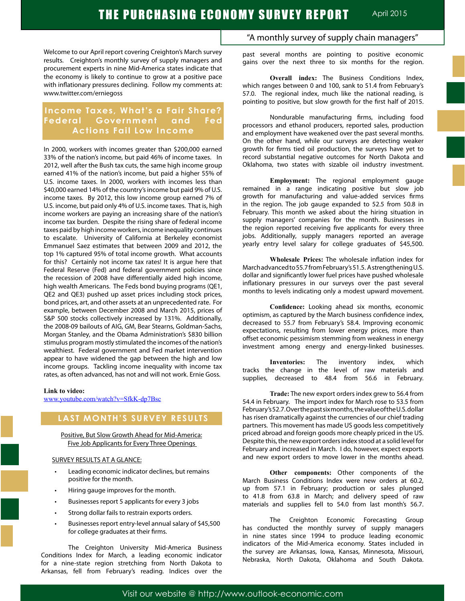Welcome to our April report covering Creighton's March survey results. Creighton's monthly survey of supply managers and procurement experts in nine Mid-America states indicate that the economy is likely to continue to grow at a positive pace with inflationary pressures declining. Follow my comments at: www.twitter.com/erniegoss

# **Income Taxes, What's a Fair Share? Federal Government and Fed Actions Fail Low Income**

In 2000, workers with incomes greater than \$200,000 earned 33% of the nation's income, but paid 46% of income taxes. In 2012, well after the Bush tax cuts, the same high income group earned 41% of the nation's income, but paid a higher 55% of U.S. income taxes. In 2000, workers with incomes less than \$40,000 earned 14% of the country's income but paid 9% of U.S. income taxes. By 2012, this low income group earned 7% of U.S. income, but paid only 4% of U.S. income taxes. That is, high income workers are paying an increasing share of the nation's income tax burden. Despite the rising share of federal income taxes paid by high income workers, income inequality continues to escalate. University of California at Berkeley economist Emmanuel Saez estimates that between 2009 and 2012, the top 1% captured 95% of total income growth. What accounts for this? Certainly not income tax rates! It is argue here that Federal Reserve (Fed) and federal government policies since the recession of 2008 have differentially aided high income, high wealth Americans. The Feds bond buying programs (QE1, QE2 and QE3) pushed up asset prices including stock prices, bond prices, art, and other assets at an unprecedented rate. For example, between December 2008 and March 2015, prices of S&P 500 stocks collectively increased by 131%. Additionally, the 2008-09 bailouts of AIG, GM, Bear Stearns, Goldman-Sachs, Morgan Stanley, and the Obama Administration's \$830 billion stimulus program mostly stimulated the incomes of the nation's wealthiest. Federal government and Fed market intervention appear to have widened the gap between the high and low income groups. Tackling income inequality with income tax rates, as often advanced, has not and will not work. Ernie Goss.

#### **Link to video:**

www.youtube.com/watch?v=SfkK-dp7Bsc

# **LAST MONTH'S SURVEY RESULTS**

Positive, But Slow Growth Ahead for Mid-America: Five Job Applicants for Every Three Openings

#### SURVEY RESULTS AT A GLANCE:

- Leading economic indicator declines, but remains positive for the month.
- Hiring gauge improves for the month.
- Businesses report 5 applicants for every 3 jobs
- Strong dollar fails to restrain exports orders.
- Businesses report entry-level annual salary of \$45,500 for college graduates at their firms.

The Creighton University Mid-America Business Conditions Index for March, a leading economic indicator for a nine-state region stretching from North Dakota to Arkansas, fell from February's reading. Indices over the

# "A monthly survey of supply chain managers"

past several months are pointing to positive economic gains over the next three to six months for the region.

**Overall index:** The Business Conditions Index, which ranges between 0 and 100, sank to 51.4 from February's 57.0. The regional index, much like the national reading, is pointing to positive, but slow growth for the first half of 2015.

Nondurable manufacturing firms, including food processors and ethanol producers, reported sales, production and employment have weakened over the past several months. On the other hand, while our surveys are detecting weaker growth for firms tied oil production, the surveys have yet to record substantial negative outcomes for North Dakota and Oklahoma, two states with sizable oil industry investment.

**Employment:** The regional employment gauge remained in a range indicating positive but slow job growth for manufacturing and value-added services firms in the region. The job gauge expanded to 52.5 from 50.8 in February. This month we asked about the hiring situation in supply managers' companies for the month. Businesses in the region reported receiving five applicants for every three jobs. Additionally, supply managers reported an average yearly entry level salary for college graduates of \$45,500.

**Wholesale Prices:** The wholesale inflation index for March advanced to 55.7 from February's 51.5. A strengthening U.S. dollar and significantly lower fuel prices have pushed wholesale inflationary pressures in our surveys over the past several months to levels indicating only a modest upward movement.

**Confidence:** Looking ahead six months, economic optimism, as captured by the March business confidence index, decreased to 55.7 from February's 58.4. Improving economic expectations, resulting from lower energy prices, more than offset economic pessimism stemming from weakness in energy investment among energy and energy-linked businesses.

**Inventories:** The inventory index, which tracks the change in the level of raw materials and supplies, decreased to 48.4 from 56.6 in February.

**Trade:** The new export orders index grew to 56.4 from 54.4 in February. The import index for March rose to 53.5 from February's 52.7. Over the past six months, the value of the U.S. dollar has risen dramatically against the currencies of our chief trading partners. This movement has made US goods less competitively priced abroad and foreign goods more cheaply priced in the US. Despite this, the new export orders index stood at a solid level for February and increased in March. I do, however, expect exports and new export orders to move lower in the months ahead.

**Other components:** Other components of the March Business Conditions Index were new orders at 60.2, up from 57.1 in February; production or sales plunged to 41.8 from 63.8 in March; and delivery speed of raw materials and supplies fell to 54.0 from last month's 56.7.

The Creighton Economic Forecasting Group has conducted the monthly survey of supply managers in nine states since 1994 to produce leading economic indicators of the Mid-America economy. States included in the survey are Arkansas, Iowa, Kansas, Minnesota, Missouri, Nebraska, North Dakota, Oklahoma and South Dakota.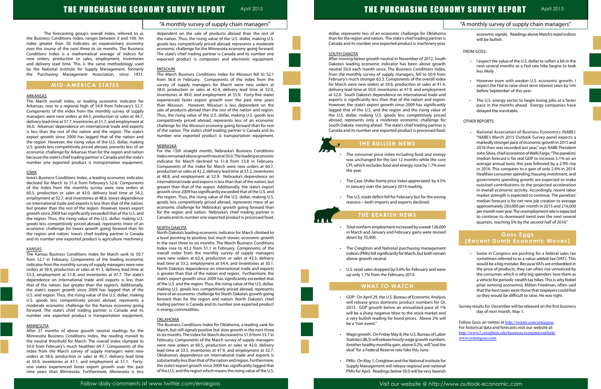### "A monthly survey of supply chain managers"

# THE PURCHASING ECONOMY SURVEY REPORT April 2015

The forecasting group's overall index, referred to as the Business Conditions Index, ranges between 0 and 100. An index greater than 50 indicates an expansionary economy over the course of the next three to six months. The Business Conditions Index is a mathematical average of indices for new orders, production or sales, employment, inventories and delivery lead time. This is the same methodology used by the National Institute for Supply Management, formerly the Purchasing Management Association, since 1931.

## **MID-AMERICA STATES**

#### ARKANSAS

The March overall index, or leading economic indicator for Arkansas, rose to a regional high of 54.9 from February's 52.7. Components of the index from the monthly survey of supply managers were new orders at 64.3, production or sales at 44.7, delivery lead time at 57.7, inventories at 51.7, and employment at 56.0. Arkansas' dependence on international trade and exports is less than the rest of the nation and the region. The state's export growth since 2009 has lagged that of the nation and the region. However, the rising value of the U.S. dollar, making U.S. goods less competitively priced abroad, presents less of an economic challenge for Arkansas than for the region and nation because the state's chief trading partner is Canada and the state's number one exported product is transportation equipment.

#### IOWA

Iowa's Business Conditions Index, a leading economic indicator, declined for March to 51.6 from February's 52.6. Components of the index from the monthly survey were new orders at 60.5, production or sales at 42.0, delivery lead time at 54.2, employment at 52.7, and inventories at 48.6. Iowa's dependence on international trade and exports is less than that of the nation, but greater than the rest of the region. However, Iowa's export growth since 2009 has significantly exceeded that of the U.S. and the region. Thus, the rising value of the U.S. dollar, making U.S. goods less competitively priced abroad, represents more of an economic challenge for Iowa's growth going forward than for the region and nation. Iowa's chief trading partner is Canada and its number one exported product is agriculture machinery.

#### KANSAS

The Kansas Business Conditions Index for March sank to 50.7 from 52.7 in February. Components of the leading economic indicator from the monthly survey of supply managers were new orders at 59.4, production or sales at 41.3, delivery lead time at 53.3, employment at 51.8, and inventories at 47.7. The state's dependence on international trade and exports is less than that of the nation, but greater than the region's. Additionally, the state's export growth since 2009 has lagged that of the U.S. and region. Thus, the rising value of the U.S. dollar, making U.S. goods less competitively priced abroad, represents a moderate economic challenge for the Kansas economy going forward. The state's chief trading partner is Canada and its number one exported product is transportation equipment.

#### **MINNESOTA**

After 27 months of above growth neutral readings for the Minnesota Business Conditions Index, the reading moved to the neutral threshold for March. The overall index slumped to 50.0 from February's much healthier 64.7. Components of the index from the March survey of supply managers were new orders at 58.6, production or sales at 40.7, delivery lead time at 50.0, inventories at 47.1, and employment at 51.1. Fortyone states experienced faster export growth over the past nine years than Minnesota. Furthermore, Minnesota is less dependent on the sale of products abroad than the rest of the nation. Thus, the rising value of the U.S. dollar, making U.S. goods less competitively priced abroad, represents a moderate economic challenge for the Minnesota economy going forward. The state's chief trading partner is Canada and its number one exported product is computers and electronic equipment.

#### MISSOURI

- The consumer price index including food and ener was unchanged for the last 12 months while the co CPI, which excludes food and energy, rose by 1.7% ov the year.
- The Case-Shiller home price index appreciated by 4. in January over the January 2014 reading.
- The U.S. trade deficit fell for February but for the wro reasons—both imports and exports declined.

The March Business Conditions Index for Missouri fell to 52.1 from 56.8 in February. Components of the index from the survey of supply managers for March were new orders at 58.0, production or sales at 42.4, delivery lead time at 52.0, inventories at 49.0, and employment at 55.9. Forty-five states experienced faster export growth over the past nine years than Missouri. However, Missouri is less dependent on the sale of products abroad than the rest of the nation and region. Thus, the rising value of the U.S. dollar, making U.S. goods less competitively priced abroad, represents less of an economic challenge for the Missouri economy going forward than for rest of the nation. The state's chief trading partner is Canada and its number one exported product is transportation equipment.

#### **NEBRASKA**

- Total nonfarm employment increased by a weak 126,0 in March and January and February gains were revis down by 70,000.
- The Creighton and National purchasing management indices (PMIs) fell significantly for March, but both rem above growth neutral.
- U.S. retail sales dropped by 0.6% for February and we up only 1.7% from the February 2014.

- GDP: On April 29, the U.S. Bureau of Economic Analy will release gross domestic product numbers for 2015. GDP growth below an annualized pace of will be a sharp negative blow to the stock market a a very bullish reading for bond prices. Above 2% will be a "non event."
- Wage growth: On Friday May 8, the U.S. Bureau of Labor Statistics (BLS) will release hourly wage growth numbers. Another healthy monthly gain, above 0.2%, will "seal the deal" for a Federal Reserve rate hike this June.
- • PMIs: On May 1, Creighton and the National Institute for Supply Management will release regional and national PMIs for April. Readings below 50.0 will be very bearish

For the 15th straight month, Nebraska's Business Conditions Index remained above growth neutral 50.0. The leading economic indicator for March declined to 51.8 from 53.8 in February. Components of the index for March were new orders at 60.7, production or sales at 42.2, delivery lead time at 53.2, inventories at 48.8, and employment at 52.9. Nebraska's dependence on international trade and exports is less than that of the nation, but greater than that of the region. Additionally, the state's export growth since 2009 has significantly exceeded that of the U.S. and the region. Thus, the rising value of the U.S. dollar, making U.S. goods less competitively priced abroad, represents more of an economic challenge for Nebraska's growth going forward than for the region and nation. Nebraska's chief trading partner is Canada and its number one exported product is processed food.

#### NORTH DAKOTA

|                                  | "A monthly survey of supply chain managers"                                                                                                                                                                                            |  |
|----------------------------------|----------------------------------------------------------------------------------------------------------------------------------------------------------------------------------------------------------------------------------------|--|
| ma<br>er is<br>ear.              | economic signals. Readings above March's tepid indices<br>will be bullish.                                                                                                                                                             |  |
|                                  | <b>FROM GOSS:</b>                                                                                                                                                                                                                      |  |
| uth<br>wth<br>lex,<br>'om<br>dex | I expect the value of the U.S. dollar to soften a bit in the<br>next several months as a Fed rate hike begins to look<br>less likely.                                                                                                  |  |
| 1.4,<br>ent<br>and               | However even with weaker U.S. economic growth, I<br>$\bullet$<br>expect the Fed to raise short term interest rates by 1/4%<br>before September of this year.                                                                           |  |
| ion.<br>ntly<br>e of<br>ced      | The U.S. energy sector to begin losing jobs at a faster<br>pace in the months ahead. Energy companies have<br>delayed the inevitable.                                                                                                  |  |
| for<br>er is                     | <b>OTHER REPORTS:</b>                                                                                                                                                                                                                  |  |
| od.                              | National Association of Business Economics (NABE):<br>"NABE's March 2015 Outlook Survey panel expects a                                                                                                                                |  |
|                                  | markedly stronger pace of economic growth in 2015 and<br>2016 than was recorded last year," says NABE President                                                                                                                        |  |
| rgy                              | John Silvia, chief economist of Wells Fargo. "The panelists'                                                                                                                                                                           |  |
| ore                              | median forecast is for real GDP to increase 3.1% on an                                                                                                                                                                                 |  |
| ver                              | average annual basis this year followed by a 2.9% rise<br>in 2016. This compares to a gain of only 2.4% in 2014.<br>Healthier consumer spending, housing investment, and                                                               |  |
| .5%                              | government spending growth are expected to make<br>outsized contributions to the projected acceleration<br>in overall economic activity. Accordingly, recent labor                                                                     |  |
| ong                              | market strength is expected to continue. The panelists'<br>median forecast is for net new job creation to average<br>approximately 250,000 per month in 2015 and 216,000                                                               |  |
|                                  | per month next year. The unemployment rate is expected<br>to continue its downward trend over the next several<br>quarters, reaching 5% by the second half of 2016."                                                                   |  |
| 000                              |                                                                                                                                                                                                                                        |  |
| sed                              | Goss Eggs<br>(Recent Dumb Economic Moves)                                                                                                                                                                                              |  |
| ent                              |                                                                                                                                                                                                                                        |  |
| าain                             | Some in Congress are pushing for a federal sales tax<br>sometimes referred to as a value-added-tax (VAT). This<br>would be a big mistake. Because VATs are embedded in                                                                 |  |
| ere                              | the price of products, they can often rise unnoticed by<br>the consumer, which is why big spenders love them as<br>a vehicle for periodic stealth tax hikes. This is why Nobel<br>prize winning economist, Milton Friedman, often said |  |
| ysis                             | that the best taxes were those that taxpayers could feel<br>so they would be difficult to raise. He was right.                                                                                                                         |  |
| QI,                              |                                                                                                                                                                                                                                        |  |
| 1%                               | Survey results for December will be released on the first business                                                                                                                                                                     |  |
| and                              | day of next month, May 1.                                                                                                                                                                                                              |  |

North Dakota's leading economic indicator for March climbed to a level pointing to positive, but much slower, economic growth in the next three to six months. The March Business Conditions Index rose to 43.2 from 51.1 in February. Components of the overall index from the monthly survey of supply managers were new orders at 62.4, production or sales at 43.3, delivery lead time at 53.2, employment at 54.4, and inventories at 50.1. North Dakota's dependence on international trade and exports is greater than that of the nation and region. Furthermore, the state's export growth since 2009 has significantly exceeded that of the U.S. and the region. Thus, the rising value of the U.S. dollar, making U.S. goods less competitively priced abroad, represents more of an economic challenge for North Dakota's growth going forward than for the region and nation. North Dakota's chief trading partner is Canada and its number one exported product is energy commodities.

#### OKLAHOMA

The Business Conditions Index for Oklahoma, a leading sank for March, but still signals positive but slow growth in the next three to six months. The index for March decreased to 51.6 from 53.7 in February. Components of the March survey of supply managers were new orders at 60.5, production or sales at 42.0, delivery lead time at 53.5, inventories at 47.9, and employment at 52.7. Oklahoma's dependence on international trade and exports is substantially less than that of the nation and region. Furthermore, the state's export growth since 2009 has significantly lagged that of the U.S. and the region which means the rising value of the U.S.

dollar, represents less of an economic challenge for Oklahor than for the region and nation. The state's chief trading partner Canada and its number one exported product is machinery year.

#### **SOUTH DAKOTA**

After moving below growth neutral in November of 2012, Sou Dakota's leading economic indicator has been above grov neutral 50.0 each month since. The Business Conditions Ind from the monthly survey of supply managers, fell to 50.9 from February's much stronger 63.3. Components of the overall ind for March were new orders at 59.6, production or sales at 41 delivery lead time at 50.9, inventories at 47.9, and employme at 52.0. South Dakota's dependence on international trade a exports is significantly less than that of the nation and region. However, the state's export growth since 2009 has significantly lagged that of the U.S. and the region and the rising value the U.S. dollar, making U.S. goods less competitively pric abroad, represents only a moderate economic challenge South Dakota moving ahead. The state's chief trading partner Canada and its number one exported product is processed for

### **THE BULLISH NEWS**

# **THE BEARISH NEWS**

# **WHAT TO WATCH**

ľ

Follow Goss on twitter at http://twitter.com/erniegoss For historical data and forecasts visit our website at: http://www2.creighton.edu/business/economicoutlook/ www.ernestgoss.com